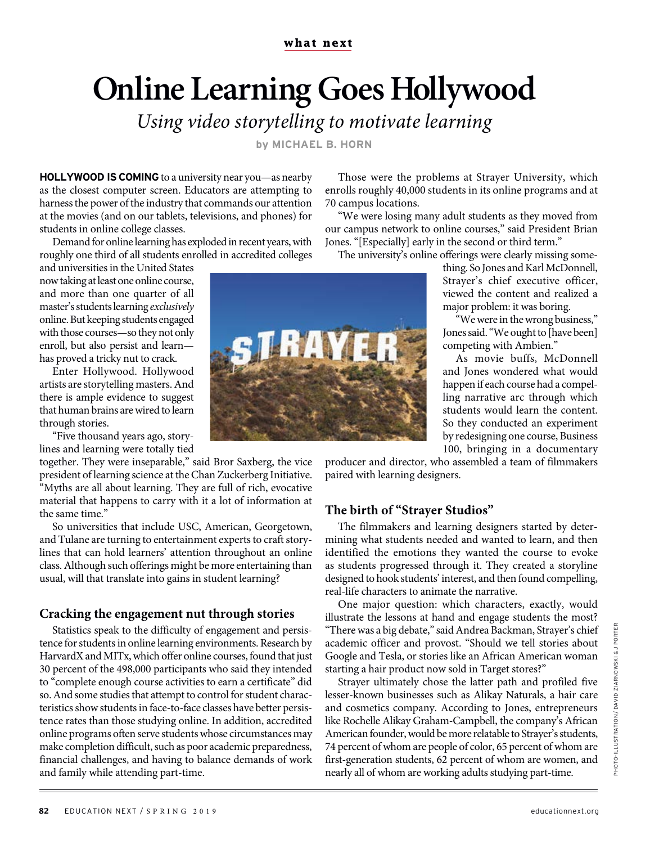# **Online Learning Goes Hollywood**

*Using video storytelling to motivate learning*

**by MICHAEL B. HORN**

**HOLLYWOOD IS COMING** to a university near you—as nearby as the closest computer screen. Educators are attempting to harness the power of the industry that commands our attention at the movies (and on our tablets, televisions, and phones) for students in online college classes.

Demand for online learning has exploded in recent years, with roughly one third of all students enrolled in accredited colleges

and universities in the United States now taking at least one online course, and more than one quarter of all master's students learning *exclusively* online. But keeping students engaged with those courses—so they not only enroll, but also persist and learn has proved a tricky nut to crack.

Enter Hollywood. Hollywood artists are storytelling masters. And there is ample evidence to suggest that human brains are wired to learn through stories.

"Five thousand years ago, storylines and learning were totally tied

together. They were inseparable," said Bror Saxberg, the vice president of learning science at the Chan Zuckerberg Initiative. "Myths are all about learning. They are full of rich, evocative material that happens to carry with it a lot of information at the same time."

So universities that include USC, American, Georgetown, and Tulane are turning to entertainment experts to craft storylines that can hold learners' attention throughout an online class. Although such offerings might be more entertaining than usual, will that translate into gains in student learning?

## **Cracking the engagement nut through stories**

Statistics speak to the difficulty of engagement and persistence for students in online learning environments. Research by HarvardX and MITx, which offer online courses, found that just 30 percent of the 498,000 participants who said they intended to "complete enough course activities to earn a certificate" did so. And some studies that attempt to control for student characteristics show students in face-to-face classes have better persistence rates than those studying online. In addition, accredited online programs often serve students whose circumstances may make completion difficult, such as poor academic preparedness, financial challenges, and having to balance demands of work and family while attending part-time.



Those were the problems at Strayer University, which enrolls roughly 40,000 students in its online programs and at 70 campus locations.

"We were losing many adult students as they moved from our campus network to online courses," said President Brian Jones. "[Especially] early in the second or third term."

The university's online offerings were clearly missing some-

thing. So Jones and Karl McDonnell, Strayer's chief executive officer, viewed the content and realized a major problem: it was boring.

"We were in the wrong business," Jones said. "We ought to [have been] competing with Ambien."

As movie buffs, McDonnell and Jones wondered what would happen if each course had a compelling narrative arc through which students would learn the content. So they conducted an experiment by redesigning one course, Business 100, bringing in a documentary

producer and director, who assembled a team of filmmakers paired with learning designers.

## **The birth of "Strayer Studios"**

The filmmakers and learning designers started by determining what students needed and wanted to learn, and then identified the emotions they wanted the course to evoke as students progressed through it. They created a storyline designed to hook students' interest, and then found compelling, real-life characters to animate the narrative.

One major question: which characters, exactly, would illustrate the lessons at hand and engage students the most? "There was a big debate," said Andrea Backman, Strayer's chief academic officer and provost. "Should we tell stories about Google and Tesla, or stories like an African American woman starting a hair product now sold in Target stores?"

Strayer ultimately chose the latter path and profiled five lesser-known businesses such as Alikay Naturals, a hair care and cosmetics company. According to Jones, entrepreneurs like Rochelle Alikay Graham-Campbell, the company's African American founder, would be more relatable to Strayer's students, 74 percent of whom are people of color, 65 percent of whom are first-generation students, 62 percent of whom are women, and nearly all of whom are working adults studying part-time.